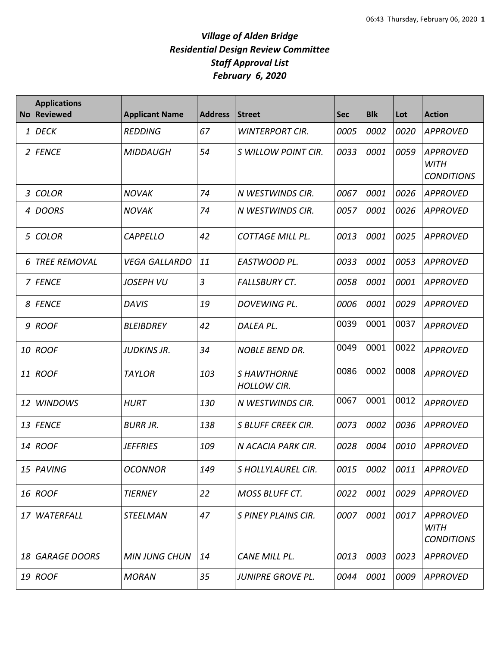| <b>No</b>      | <b>Applications</b><br><b>Reviewed</b> | <b>Applicant Name</b> | <b>Address</b> | <b>Street</b>                            | <b>Sec</b> | <b>Blk</b> | Lot  | <b>Action</b>                                       |
|----------------|----------------------------------------|-----------------------|----------------|------------------------------------------|------------|------------|------|-----------------------------------------------------|
| 1              | <b>DECK</b>                            | <b>REDDING</b>        | 67             | <b>WINTERPORT CIR.</b>                   | 0005       | 0002       | 0020 | <b>APPROVED</b>                                     |
| 2              | <b>FENCE</b>                           | <b>MIDDAUGH</b>       | 54             | S WILLOW POINT CIR.                      | 0033       | 0001       | 0059 | <b>APPROVED</b><br><b>WITH</b><br><b>CONDITIONS</b> |
| $\overline{3}$ | <b>COLOR</b>                           | <b>NOVAK</b>          | 74             | N WESTWINDS CIR.                         | 0067       | 0001       | 0026 | <b>APPROVED</b>                                     |
| 4              | <b>DOORS</b>                           | <b>NOVAK</b>          | 74             | N WESTWINDS CIR.                         | 0057       | 0001       | 0026 | <b>APPROVED</b>                                     |
| 5              | <b>COLOR</b>                           | <b>CAPPELLO</b>       | 42             | <b>COTTAGE MILL PL.</b>                  | 0013       | 0001       | 0025 | <b>APPROVED</b>                                     |
| 6              | <b>TREE REMOVAL</b>                    | <b>VEGA GALLARDO</b>  | 11             | EASTWOOD PL.                             | 0033       | 0001       | 0053 | <b>APPROVED</b>                                     |
| 7              | <b>FENCE</b>                           | <b>JOSEPH VU</b>      | 3              | <b>FALLSBURY CT.</b>                     | 0058       | 0001       | 0001 | <b>APPROVED</b>                                     |
| 8              | <b>FENCE</b>                           | <b>DAVIS</b>          | 19             | DOVEWING PL.                             | 0006       | 0001       | 0029 | <b>APPROVED</b>                                     |
| 9              | <b>ROOF</b>                            | <b>BLEIBDREY</b>      | 42             | DALEA PL.                                | 0039       | 0001       | 0037 | <b>APPROVED</b>                                     |
| 10             | <b>ROOF</b>                            | <b>JUDKINS JR.</b>    | 34             | <b>NOBLE BEND DR.</b>                    | 0049       | 0001       | 0022 | <b>APPROVED</b>                                     |
| 11             | <b>ROOF</b>                            | <b>TAYLOR</b>         | 103            | <b>S HAWTHORNE</b><br><b>HOLLOW CIR.</b> | 0086       | 0002       | 0008 | <b>APPROVED</b>                                     |
| 12             | <b>WINDOWS</b>                         | <b>HURT</b>           | 130            | N WESTWINDS CIR.                         | 0067       | 0001       | 0012 | <b>APPROVED</b>                                     |
| 13             | <b>FENCE</b>                           | <b>BURR JR.</b>       | 138            | <b>S BLUFF CREEK CIR.</b>                | 0073       | 0002       | 0036 | <b>APPROVED</b>                                     |
| 14             | <b>ROOF</b>                            | <b>JEFFRIES</b>       | 109            | N ACACIA PARK CIR.                       | 0028       | 0004       | 0010 | <b>APPROVED</b>                                     |
|                | 15 PAVING                              | <b>OCONNOR</b>        | 149            | S HOLLYLAUREL CIR.                       | 0015       | 0002       | 0011 | <b>APPROVED</b>                                     |
|                | 16 ROOF                                | <b>TIERNEY</b>        | 22             | <b>MOSS BLUFF CT.</b>                    | 0022       | 0001       | 0029 | <b>APPROVED</b>                                     |
| 17             | WATERFALL                              | <b>STEELMAN</b>       | 47             | S PINEY PLAINS CIR.                      | 0007       | 0001       | 0017 | <b>APPROVED</b><br><b>WITH</b><br><b>CONDITIONS</b> |
| 18             | <b>GARAGE DOORS</b>                    | <b>MIN JUNG CHUN</b>  | 14             | CANE MILL PL.                            | 0013       | 0003       | 0023 | <b>APPROVED</b>                                     |
|                | 19 ROOF                                | <b>MORAN</b>          | 35             | JUNIPRE GROVE PL.                        | 0044       | 0001       | 0009 | <b>APPROVED</b>                                     |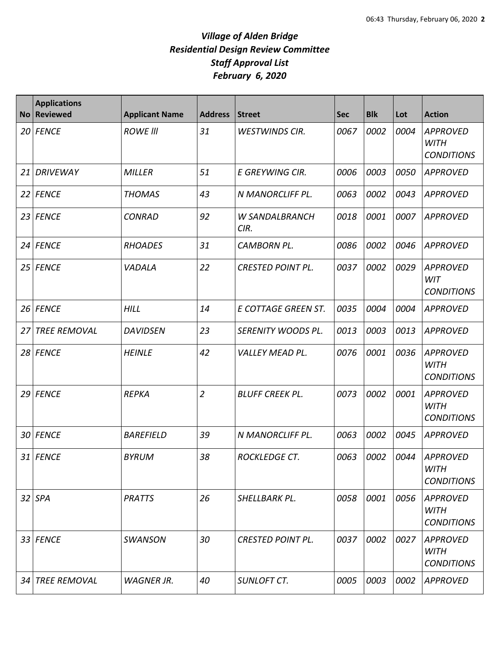| <b>No</b> | <b>Applications</b><br><b>Reviewed</b> | <b>Applicant Name</b> | <b>Address</b> | <b>Street</b>                 | <b>Sec</b> | <b>Blk</b> | Lot  | <b>Action</b>                                       |
|-----------|----------------------------------------|-----------------------|----------------|-------------------------------|------------|------------|------|-----------------------------------------------------|
| 20        | <b>FENCE</b>                           | <b>ROWE III</b>       | 31             | <b>WESTWINDS CIR.</b>         | 0067       | 0002       | 0004 | <b>APPROVED</b><br><b>WITH</b><br><b>CONDITIONS</b> |
| 21        | <b>DRIVEWAY</b>                        | <b>MILLER</b>         | 51             | E GREYWING CIR.               | 0006       | 0003       | 0050 | <b>APPROVED</b>                                     |
| 22        | <b>FENCE</b>                           | <b>THOMAS</b>         | 43             | N MANORCLIFF PL.              | 0063       | 0002       | 0043 | <b>APPROVED</b>                                     |
| 23        | <b>FENCE</b>                           | <b>CONRAD</b>         | 92             | <b>W SANDALBRANCH</b><br>CIR. | 0018       | 0001       | 0007 | <b>APPROVED</b>                                     |
| 24        | <b>FENCE</b>                           | <b>RHOADES</b>        | 31             | <b>CAMBORN PL.</b>            | 0086       | 0002       | 0046 | <b>APPROVED</b>                                     |
| 25        | <b>FENCE</b>                           | VADALA                | 22             | <b>CRESTED POINT PL.</b>      | 0037       | 0002       | 0029 | <b>APPROVED</b><br><b>WIT</b><br><b>CONDITIONS</b>  |
| 26        | <b>FENCE</b>                           | <b>HILL</b>           | 14             | E COTTAGE GREEN ST.           | 0035       | 0004       | 0004 | <b>APPROVED</b>                                     |
| 27        | <b>TREE REMOVAL</b>                    | <b>DAVIDSEN</b>       | 23             | SERENITY WOODS PL.            | 0013       | 0003       | 0013 | <b>APPROVED</b>                                     |
| 28        | <b>FENCE</b>                           | <b>HEINLE</b>         | 42             | <b>VALLEY MEAD PL.</b>        | 0076       | 0001       | 0036 | <b>APPROVED</b><br><b>WITH</b><br><b>CONDITIONS</b> |
| 29        | <b>FENCE</b>                           | <b>REPKA</b>          | $\overline{2}$ | <b>BLUFF CREEK PL.</b>        | 0073       | 0002       | 0001 | <b>APPROVED</b><br><b>WITH</b><br><b>CONDITIONS</b> |
| 30        | <b>FENCE</b>                           | <b>BAREFIELD</b>      | 39             | N MANORCLIFF PL.              | 0063       | 0002       | 0045 | <b>APPROVED</b>                                     |
|           | 31 FENCE                               | <b>BYRUM</b>          | 38             | ROCKLEDGE CT.                 | 0063       | 0002       | 0044 | <b>APPROVED</b><br><b>WITH</b><br><b>CONDITIONS</b> |
| 32        | <b>SPA</b>                             | <b>PRATTS</b>         | 26             | SHELLBARK PL.                 | 0058       | 0001       | 0056 | <b>APPROVED</b><br><b>WITH</b><br><b>CONDITIONS</b> |
|           | 33 FENCE                               | <b>SWANSON</b>        | 30             | <b>CRESTED POINT PL.</b>      | 0037       | 0002       | 0027 | <b>APPROVED</b><br><b>WITH</b><br><b>CONDITIONS</b> |
|           | 34 TREE REMOVAL                        | <b>WAGNER JR.</b>     | 40             | <b>SUNLOFT CT.</b>            | 0005       | 0003       | 0002 | <b>APPROVED</b>                                     |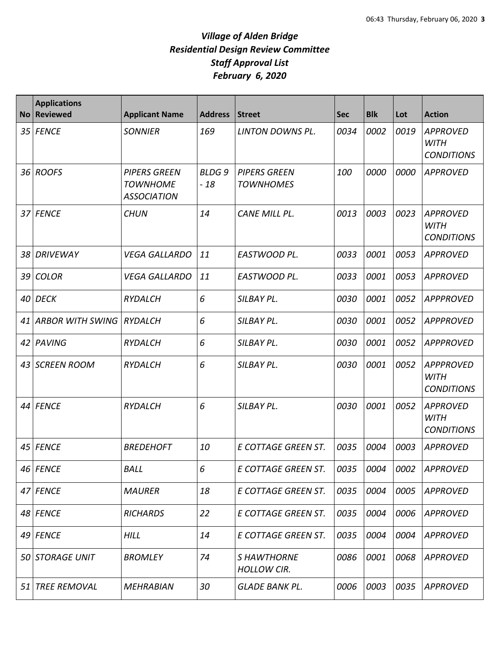| <b>No</b> | <b>Applications</b><br><b>Reviewed</b> | <b>Applicant Name</b>                                        | <b>Address</b>        | <b>Street</b>                           | <b>Sec</b> | <b>Blk</b> | Lot  | <b>Action</b>                                        |
|-----------|----------------------------------------|--------------------------------------------------------------|-----------------------|-----------------------------------------|------------|------------|------|------------------------------------------------------|
| 35        | <b>FENCE</b>                           | <b>SONNIER</b>                                               | 169                   | LINTON DOWNS PL.                        | 0034       | 0002       | 0019 | <b>APPROVED</b><br><b>WITH</b><br><b>CONDITIONS</b>  |
|           | 36 ROOFS                               | <b>PIPERS GREEN</b><br><b>TOWNHOME</b><br><b>ASSOCIATION</b> | <b>BLDG9</b><br>$-18$ | <b>PIPERS GREEN</b><br><b>TOWNHOMES</b> | 100        | 0000       | 0000 | <b>APPROVED</b>                                      |
| 37        | <b>FENCE</b>                           | <b>CHUN</b>                                                  | 14                    | <b>CANE MILL PL.</b>                    | 0013       | 0003       | 0023 | <b>APPROVED</b><br><b>WITH</b><br><b>CONDITIONS</b>  |
| 38        | <b>DRIVEWAY</b>                        | <b>VEGA GALLARDO</b>                                         | 11                    | EASTWOOD PL.                            | 0033       | 0001       | 0053 | <b>APPROVED</b>                                      |
| 39        | <b>COLOR</b>                           | <b>VEGA GALLARDO</b>                                         | 11                    | EASTWOOD PL.                            | 0033       | 0001       | 0053 | <b>APPROVED</b>                                      |
| 40        | <b>DECK</b>                            | <b>RYDALCH</b>                                               | 6                     | SILBAY PL.                              | 0030       | 0001       | 0052 | <b>APPPROVED</b>                                     |
| 41        | <b>ARBOR WITH SWING</b>                | <b>RYDALCH</b>                                               | 6                     | SILBAY PL.                              | 0030       | 0001       | 0052 | <b>APPPROVED</b>                                     |
| 42        | PAVING                                 | <b>RYDALCH</b>                                               | 6                     | SILBAY PL.                              | 0030       | 0001       | 0052 | <b>APPPROVED</b>                                     |
| 43        | <b>SCREEN ROOM</b>                     | <b>RYDALCH</b>                                               | 6                     | SILBAY PL.                              | 0030       | 0001       | 0052 | <b>APPPROVED</b><br><b>WITH</b><br><b>CONDITIONS</b> |
| 44        | <b>FENCE</b>                           | <b>RYDALCH</b>                                               | 6                     | SILBAY PL.                              | 0030       | 0001       | 0052 | <b>APPROVED</b><br><b>WITH</b><br><b>CONDITIONS</b>  |
| 45        | <b>FENCE</b>                           | <b>BREDEHOFT</b>                                             | 10                    | E COTTAGE GREEN ST.                     | 0035       | 0004       | 0003 | <b>APPROVED</b>                                      |
|           | 46 FENCE                               | <b>BALL</b>                                                  | 6                     | E COTTAGE GREEN ST.                     | 0035       | 0004       | 0002 | APPROVED                                             |
|           | 47 FENCE                               | <b>MAURER</b>                                                | 18                    | E COTTAGE GREEN ST.                     | 0035       | 0004       | 0005 | <b>APPROVED</b>                                      |
|           | 48 FENCE                               | <b>RICHARDS</b>                                              | 22                    | E COTTAGE GREEN ST.                     | 0035       | 0004       | 0006 | <b>APPROVED</b>                                      |
|           | $49$ FENCE                             | <b>HILL</b>                                                  | 14                    | E COTTAGE GREEN ST.                     | 0035       | 0004       | 0004 | <b>APPROVED</b>                                      |
| 50        | STORAGE UNIT                           | <b>BROMLEY</b>                                               | 74                    | <b>SHAWTHORNE</b><br><b>HOLLOW CIR.</b> | 0086       | 0001       | 0068 | <b>APPROVED</b>                                      |
| 51        | <b>TREE REMOVAL</b>                    | <b>MEHRABIAN</b>                                             | 30                    | <b>GLADE BANK PL.</b>                   | 0006       | 0003       | 0035 | <b>APPROVED</b>                                      |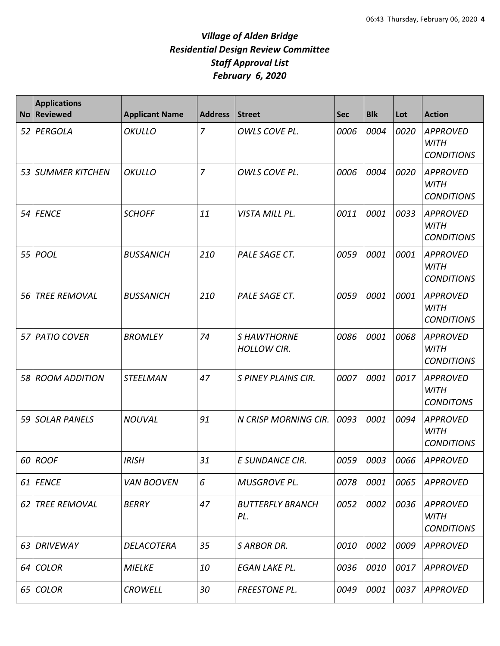| <b>No</b> | <b>Applications</b><br><b>Reviewed</b> | <b>Applicant Name</b> | <b>Address</b> | <b>Street</b>                           | <b>Sec</b> | <b>Blk</b> | Lot  | <b>Action</b>                                       |
|-----------|----------------------------------------|-----------------------|----------------|-----------------------------------------|------------|------------|------|-----------------------------------------------------|
|           | 52 PERGOLA                             | <b>OKULLO</b>         | $\overline{7}$ | OWLS COVE PL.                           | 0006       | 0004       | 0020 | <b>APPROVED</b><br><b>WITH</b><br><b>CONDITIONS</b> |
|           | 53 SUMMER KITCHEN                      | OKULLO                | $\overline{7}$ | OWLS COVE PL.                           | 0006       | 0004       | 0020 | <b>APPROVED</b><br><b>WITH</b><br><b>CONDITIONS</b> |
|           | 54 FENCE                               | <b>SCHOFF</b>         | 11             | VISTA MILL PL.                          | 0011       | 0001       | 0033 | <b>APPROVED</b><br><b>WITH</b><br><b>CONDITIONS</b> |
| 55        | <b>POOL</b>                            | <b>BUSSANICH</b>      | 210            | PALE SAGE CT.                           | 0059       | 0001       | 0001 | <b>APPROVED</b><br><b>WITH</b><br><b>CONDITIONS</b> |
| 56        | <b>TREE REMOVAL</b>                    | <b>BUSSANICH</b>      | 210            | PALE SAGE CT.                           | 0059       | 0001       | 0001 | <b>APPROVED</b><br><b>WITH</b><br><b>CONDITIONS</b> |
|           | 57 PATIO COVER                         | <b>BROMLEY</b>        | 74             | <b>SHAWTHORNE</b><br><b>HOLLOW CIR.</b> | 0086       | 0001       | 0068 | <b>APPROVED</b><br><b>WITH</b><br><b>CONDITIONS</b> |
|           | 58 ROOM ADDITION                       | <b>STEELMAN</b>       | 47             | S PINEY PLAINS CIR.                     | 0007       | 0001       | 0017 | <b>APPROVED</b><br><b>WITH</b><br><b>CONDITONS</b>  |
| 59        | <b>SOLAR PANELS</b>                    | <b>NOUVAL</b>         | 91             | N CRISP MORNING CIR.                    | 0093       | 0001       | 0094 | <b>APPROVED</b><br><b>WITH</b><br><b>CONDITIONS</b> |
|           | 60 ROOF                                | <b>IRISH</b>          | 31             | E SUNDANCE CIR.                         | 0059       | 0003       | 0066 | APPROVED                                            |
|           | 61 FENCE                               | <b>VAN BOOVEN</b>     | 6              | <b>MUSGROVE PL.</b>                     | 0078       | 0001       | 0065 | <b>APPROVED</b>                                     |
|           | 62 TREE REMOVAL                        | BERRY                 | 47             | <b>BUTTERFLY BRANCH</b><br>PL.          | 0052       | 0002       | 0036 | APPROVED<br>WITH<br><b>CONDITIONS</b>               |
|           | 63 DRIVEWAY                            | DELACOTERA            | 35             | <b>SARBOR DR.</b>                       | 0010       | 0002       | 0009 | <b>APPROVED</b>                                     |
|           | 64 COLOR                               | <b>MIELKE</b>         | 10             | EGAN LAKE PL.                           | 0036       | 0010       | 0017 | <b>APPROVED</b>                                     |
|           | 65 COLOR                               | <b>CROWELL</b>        | 30             | FREESTONE PL.                           | 0049       | 0001       | 0037 | APPROVED                                            |